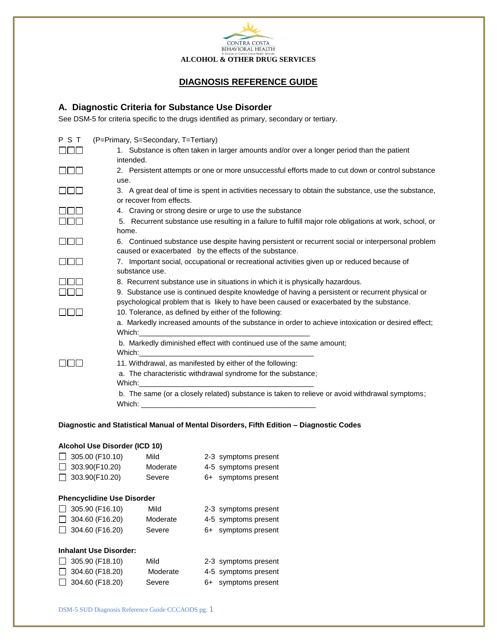

## **DIAGNOSIS REFERENCE GUIDE**

## **A. Diagnostic Criteria for Substance Use Disorder**

See DSM-5 for criteria specific to the drugs identified as primary, secondary or tertiary.

| PST                        | (P=Primary, S=Secondary, T=Tertiary)                                                                                                                                                                                           |  |  |  |  |
|----------------------------|--------------------------------------------------------------------------------------------------------------------------------------------------------------------------------------------------------------------------------|--|--|--|--|
| <b>ulus</b>                | 1. Substance is often taken in larger amounts and/or over a longer period than the patient                                                                                                                                     |  |  |  |  |
|                            | intended.                                                                                                                                                                                                                      |  |  |  |  |
| <b>Contract Contract</b>   | 2. Persistent attempts or one or more unsuccessful efforts made to cut down or control substance                                                                                                                               |  |  |  |  |
|                            | use.                                                                                                                                                                                                                           |  |  |  |  |
| $\Box \Box \Box$           | 3. A great deal of time is spent in activities necessary to obtain the substance, use the substance,                                                                                                                           |  |  |  |  |
|                            | or recover from effects.                                                                                                                                                                                                       |  |  |  |  |
| $\mathbb T$ in $\mathbb T$ | 4. Craving or strong desire or urge to use the substance                                                                                                                                                                       |  |  |  |  |
| $\  \cdot \ $              | 5. Recurrent substance use resulting in a failure to fulfill major role obligations at work, school, or                                                                                                                        |  |  |  |  |
|                            | home.                                                                                                                                                                                                                          |  |  |  |  |
| $\Box\Box$                 | 6. Continued substance use despite having persistent or recurrent social or interpersonal problem                                                                                                                              |  |  |  |  |
|                            | caused or exacerbated by the effects of the substance.                                                                                                                                                                         |  |  |  |  |
| 000                        | 7. Important social, occupational or recreational activities given up or reduced because of                                                                                                                                    |  |  |  |  |
|                            | substance use.                                                                                                                                                                                                                 |  |  |  |  |
| $\mathbf{H}$ . The set     | 8. Recurrent substance use in situations in which it is physically hazardous.                                                                                                                                                  |  |  |  |  |
| <u> חבוב</u>               | 9. Substance use is continued despite knowledge of having a persistent or recurrent physical or                                                                                                                                |  |  |  |  |
|                            | psychological problem that is likely to have been caused or exacerbated by the substance.                                                                                                                                      |  |  |  |  |
| .                          | 10. Tolerance, as defined by either of the following:                                                                                                                                                                          |  |  |  |  |
|                            | a. Markedly increased amounts of the substance in order to achieve intoxication or desired effect;                                                                                                                             |  |  |  |  |
|                            |                                                                                                                                                                                                                                |  |  |  |  |
|                            | b. Markedly diminished effect with continued use of the same amount;                                                                                                                                                           |  |  |  |  |
|                            |                                                                                                                                                                                                                                |  |  |  |  |
|                            | 11. Withdrawal, as manifested by either of the following:                                                                                                                                                                      |  |  |  |  |
|                            | a. The characteristic withdrawal syndrome for the substance;                                                                                                                                                                   |  |  |  |  |
|                            |                                                                                                                                                                                                                                |  |  |  |  |
|                            | b. The same (or a closely related) substance is taken to relieve or avoid withdrawal symptoms;                                                                                                                                 |  |  |  |  |
|                            | Which: which is a series of the series of the series of the series of the series of the series of the series of the series of the series of the series of the series of the series of the series of the series of the series o |  |  |  |  |
|                            |                                                                                                                                                                                                                                |  |  |  |  |

#### **Diagnostic and Statistical Manual of Mental Disorders, Fifth Edition – Diagnostic Codes**

# **Alcohol Use Disorder (ICD 10)** □ 305.00 (F10.10) Mild 2-3 symptoms present 303.90(F10.20) Moderate 4-5 symptoms present 303.90(F10.20) Severe 6+ symptoms present **Phencyclidine Use Disorder** 305.90 (F16.10) Mild 2-3 symptoms present  $\Box$  304.60 (F16.20) Moderate 4-5 symptoms present  $\Box$  304.60 (F16.20) Severe 6+ symptoms present **Inhalant Use Disorder:** □ 305.90 (F18.10) Mild 2-3 symptoms present